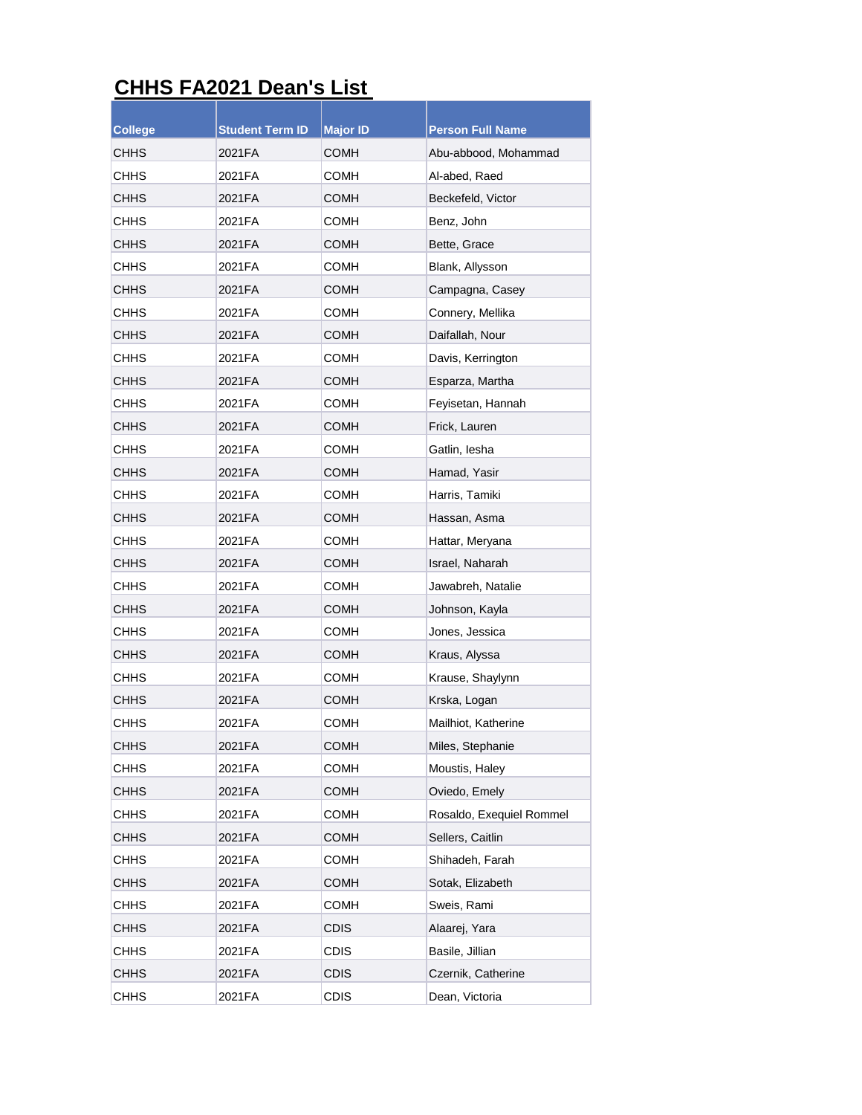## **CHHS FA2021 Dean's List**

| <b>College</b> | Student Term ID | <b>Major ID</b> | <b>Person Full Name</b>  |
|----------------|-----------------|-----------------|--------------------------|
| CHHS           | 2021FA          | <b>COMH</b>     | Abu-abbood, Mohammad     |
| <b>CHHS</b>    | 2021FA          | COMH            | Al-abed, Raed            |
| <b>CHHS</b>    | 2021FA          | COMH            | Beckefeld, Victor        |
| CHHS           | 2021FA          | COMH            | Benz, John               |
| CHHS           | 2021FA          | COMH            | Bette, Grace             |
| CHHS           | 2021 FA         | <b>COMH</b>     | Blank, Allysson          |
| <b>CHHS</b>    | 2021FA          | <b>COMH</b>     | Campagna, Casey          |
| CHHS           | 2021FA          | COMH            | Connery, Mellika         |
| CHHS           | 2021FA          | <b>COMH</b>     | Daifallah, Nour          |
| CHHS           | 2021FA          | COMH            | Davis, Kerrington        |
| CHHS           | 2021FA          | <b>COMH</b>     | Esparza, Martha          |
| CHHS           | 2021FA          | <b>COMH</b>     | Feyisetan, Hannah        |
| <b>CHHS</b>    | 2021FA          | COMH            | Frick, Lauren            |
| CHHS           | 2021FA          | COMH            | Gatlin, lesha            |
| CHHS           | 2021FA          | COMH            | Hamad, Yasir             |
| CHHS           | 2021FA          | <b>COMH</b>     | Harris, Tamiki           |
| CHHS           | 2021FA          | <b>COMH</b>     | Hassan, Asma             |
| CHHS           | 2021FA          | COMH            | Hattar, Meryana          |
| CHHS           | 2021FA          | <b>COMH</b>     | Israel, Naharah          |
| CHHS           | 2021FA          | COMH            | Jawabreh, Natalie        |
| CHHS           | 2021FA          | COMH            | Johnson, Kayla           |
| CHHS           | 2021FA          | COMH            | Jones, Jessica           |
| CHHS           | 2021FA          | COMH            | Kraus, Alyssa            |
| CHHS           | 2021FA          | COMH            | Krause, Shaylynn         |
| CHHS           | 2021FA          | COMH            | Krska, Logan             |
| CHHS           | 2021FA          | COMH            | Mailhiot, Katherine      |
| CHHS           | 2021FA          | <b>COMH</b>     | Miles, Stephanie         |
| <b>CHHS</b>    | 2021FA          | <b>COMH</b>     | Moustis, Haley           |
| CHHS           | 2021FA          | <b>COMH</b>     | Oviedo, Emely            |
| CHHS           | 2021FA          | <b>COMH</b>     | Rosaldo, Exequiel Rommel |
| <b>CHHS</b>    | 2021FA          | <b>COMH</b>     | Sellers, Caitlin         |
| <b>CHHS</b>    | 2021FA          | <b>COMH</b>     | Shihadeh, Farah          |
| <b>CHHS</b>    | 2021FA          | <b>COMH</b>     | Sotak, Elizabeth         |
| CHHS           | 2021FA          | <b>COMH</b>     | Sweis, Rami              |
| CHHS           | 2021FA          | <b>CDIS</b>     | Alaarej, Yara            |
| <b>CHHS</b>    | 2021FA          | <b>CDIS</b>     | Basile, Jillian          |
| <b>CHHS</b>    | 2021FA          | <b>CDIS</b>     | Czernik, Catherine       |
| <b>CHHS</b>    | 2021FA          | <b>CDIS</b>     | Dean, Victoria           |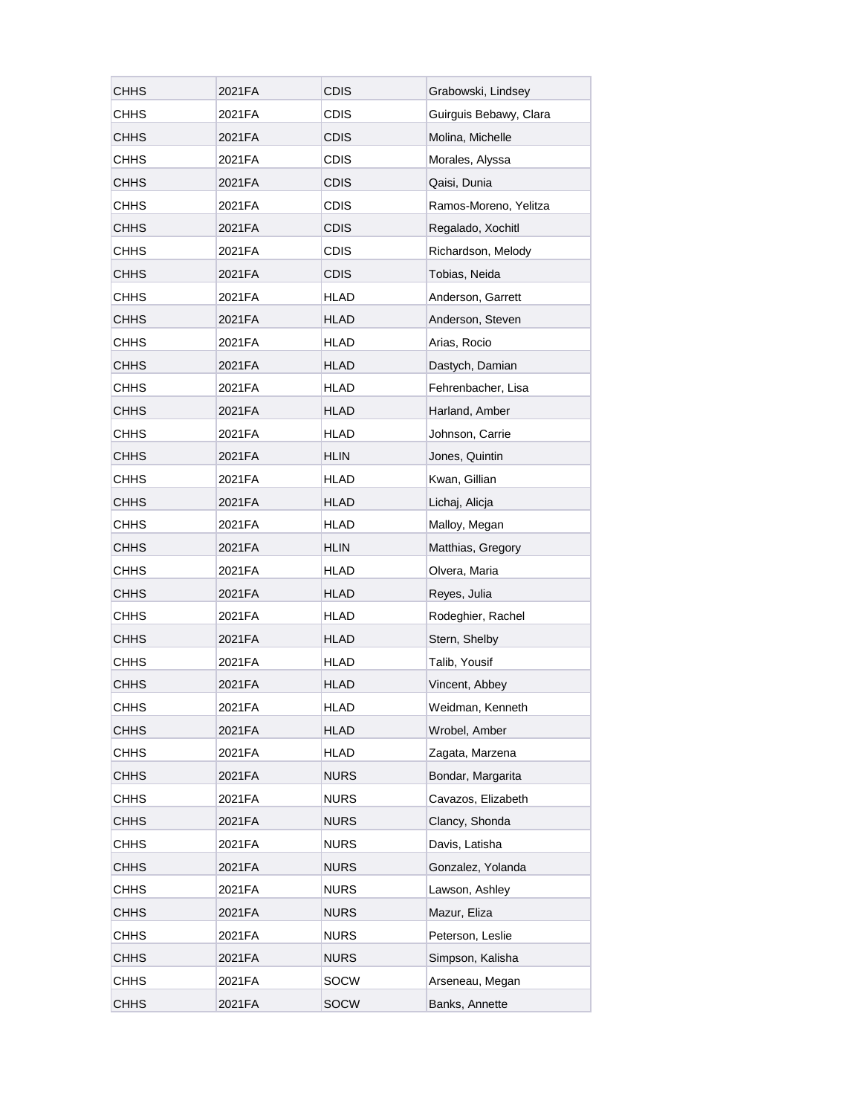| CHHS        | 2021FA | <b>CDIS</b> | Grabowski, Lindsey     |
|-------------|--------|-------------|------------------------|
| <b>CHHS</b> | 2021FA | CDIS        | Guirguis Bebawy, Clara |
| <b>CHHS</b> | 2021FA | <b>CDIS</b> | Molina, Michelle       |
| <b>CHHS</b> | 2021FA | <b>CDIS</b> | Morales, Alyssa        |
| <b>CHHS</b> | 2021FA | <b>CDIS</b> | Qaisi, Dunia           |
| <b>CHHS</b> | 2021FA | <b>CDIS</b> | Ramos-Moreno, Yelitza  |
| <b>CHHS</b> | 2021FA | <b>CDIS</b> | Regalado, Xochitl      |
| <b>CHHS</b> | 2021FA | <b>CDIS</b> | Richardson, Melody     |
| <b>CHHS</b> | 2021FA | <b>CDIS</b> | Tobias, Neida          |
| <b>CHHS</b> | 2021FA | HLAD        | Anderson, Garrett      |
| <b>CHHS</b> | 2021FA | <b>HLAD</b> | Anderson, Steven       |
| <b>CHHS</b> | 2021FA | HLAD        | Arias, Rocio           |
| <b>CHHS</b> | 2021FA | <b>HLAD</b> | Dastych, Damian        |
| <b>CHHS</b> | 2021FA | HLAD        | Fehrenbacher, Lisa     |
| <b>CHHS</b> | 2021FA | <b>HLAD</b> | Harland, Amber         |
| <b>CHHS</b> | 2021FA | HLAD        | Johnson, Carrie        |
| <b>CHHS</b> | 2021FA | <b>HLIN</b> | Jones, Quintin         |
| <b>CHHS</b> | 2021FA | <b>HLAD</b> | Kwan, Gillian          |
| <b>CHHS</b> | 2021FA | HLAD        | Lichaj, Alicja         |
| <b>CHHS</b> | 2021FA | HLAD        | Malloy, Megan          |
| <b>CHHS</b> | 2021FA | <b>HLIN</b> | Matthias, Gregory      |
| <b>CHHS</b> | 2021FA | HLAD        | Olvera, Maria          |
| <b>CHHS</b> | 2021FA | <b>HLAD</b> | Reyes, Julia           |
| <b>CHHS</b> | 2021FA | <b>HLAD</b> | Rodeghier, Rachel      |
| <b>CHHS</b> | 2021FA | <b>HLAD</b> | Stern, Shelby          |
| <b>CHHS</b> | 2021FA | <b>HLAD</b> | Talib, Yousif          |
| <b>CHHS</b> | 2021FA | HLAD        | Vincent, Abbey         |
| CHHS        | 2021FA | <b>HLAD</b> | Weidman, Kenneth       |
| <b>CHHS</b> | 2021FA | <b>HLAD</b> | Wrobel, Amber          |
| <b>CHHS</b> | 2021FA | HLAD        | Zagata, Marzena        |
| <b>CHHS</b> | 2021FA | <b>NURS</b> | Bondar, Margarita      |
| <b>CHHS</b> | 2021FA | <b>NURS</b> | Cavazos, Elizabeth     |
| <b>CHHS</b> | 2021FA | <b>NURS</b> | Clancy, Shonda         |
| <b>CHHS</b> | 2021FA | <b>NURS</b> | Davis, Latisha         |
| <b>CHHS</b> | 2021FA | <b>NURS</b> | Gonzalez, Yolanda      |
| <b>CHHS</b> | 2021FA | <b>NURS</b> | Lawson, Ashley         |
| <b>CHHS</b> | 2021FA | <b>NURS</b> | Mazur, Eliza           |
| <b>CHHS</b> | 2021FA | <b>NURS</b> | Peterson, Leslie       |
| <b>CHHS</b> | 2021FA | <b>NURS</b> | Simpson, Kalisha       |
| <b>CHHS</b> | 2021FA | SOCW        | Arseneau, Megan        |
| <b>CHHS</b> | 2021FA | <b>SOCW</b> | Banks, Annette         |